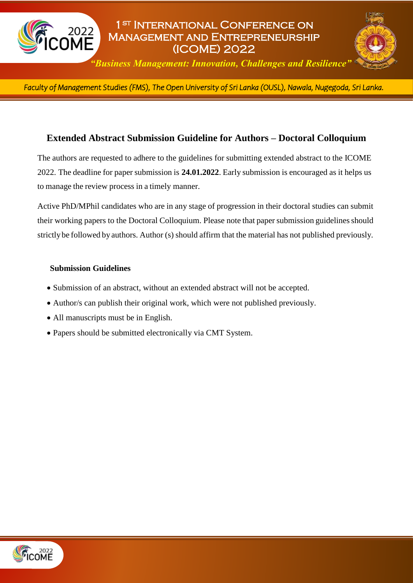

# 1st International Conference on Management and Entrepreneurship (ICOME) 2022



*"Business Management: Innovation, Challenges and Resilience"*

*Faculty of Management Studies (FMS), The Open University of Sri Lanka (OUSL), Nawala, Nugegoda, Sri Lanka.*  l

### **Extended Abstract Submission Guideline for Authors – Doctoral Colloquium**

The authors are requested to adhere to the guidelines for submitting extended abstract to the ICOME 2022. The deadline for paper submission is **24.01.2022**. Early submission is encouraged as it helps us to manage the review process in a timely manner.

Active PhD/MPhil candidates who are in any stage of progression in their doctoral studies can submit their working papers to the Doctoral Colloquium. Please note that paper submission guidelines should strictlybe followed by authors. Author (s) should affirm that the material has not published previously.

#### **Submission Guidelines**

- Submission of an abstract, without an extended abstract will not be accepted.
- Author/s can publish their original work, which were not published previously.
- All manuscripts must be in English.
- Papers should be submitted electronically via CMT System.

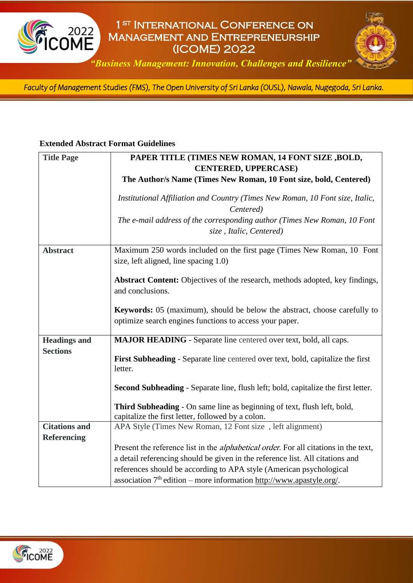

## 1st International Conference on Management and Entrepreneurship (ICOME) 2022



*"Business Management: Innovation, Challenges and Resilience"*

*Faculty of Management Studies (FMS), The Open University of Sri Lanka (OUSL), Nawala, Nugegoda, Sri Lanka.*  l

#### **Extended Abstract Format Guidelines**

| <b>Title Page</b>    | PAPER TITLE (TIMES NEW ROMAN, 14 FONT SIZE, BOLD,                                                                                           |
|----------------------|---------------------------------------------------------------------------------------------------------------------------------------------|
|                      | <b>CENTERED, UPPERCASE)</b>                                                                                                                 |
|                      | The Author/s Name (Times New Roman, 10 Font size, bold, Centered)                                                                           |
|                      | Institutional Affiliation and Country (Times New Roman, 10 Font size, Italic,<br>Centered)                                                  |
|                      | The e-mail address of the corresponding author (Times New Roman, 10 Font<br>size, Italic, Centered)                                         |
| <b>Abstract</b>      | Maximum 250 words included on the first page (Times New Roman, 10 Font<br>size, left aligned, line spacing 1.0)                             |
|                      | Abstract Content: Objectives of the research, methods adopted, key findings,<br>and conclusions.                                            |
|                      | <b>Keywords:</b> 05 (maximum), should be below the abstract, choose carefully to<br>optimize search engines functions to access your paper. |
| <b>Headings and</b>  | <b>MAJOR HEADING</b> - Separate line centered over text, bold, all caps.                                                                    |
| <b>Sections</b>      | First Subheading - Separate line centered over text, bold, capitalize the first<br>letter.                                                  |
|                      | Second Subheading - Separate line, flush left; bold, capitalize the first letter.                                                           |
|                      | Third Subheading - On same line as beginning of text, flush left, bold,<br>capitalize the first letter, followed by a colon.                |
| <b>Citations and</b> | APA Style (Times New Roman, 12 Font size, left alignment)                                                                                   |
| <b>Referencing</b>   |                                                                                                                                             |
|                      | Present the reference list in the <i>alphabetical order</i> . For all citations in the text,                                                |
|                      | a detail referencing should be given in the reference list. All citations and                                                               |
|                      | references should be according to APA style (American psychological                                                                         |
|                      | association $7th$ edition – more information http://www.apastyle.org/.                                                                      |